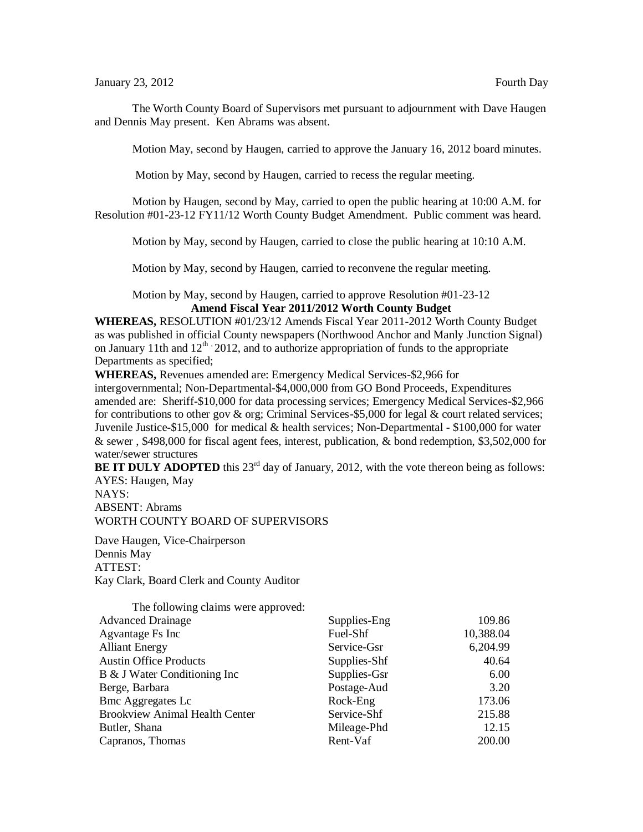## January 23, 2012 **Fourth Day**

The Worth County Board of Supervisors met pursuant to adjournment with Dave Haugen and Dennis May present. Ken Abrams was absent.

Motion May, second by Haugen, carried to approve the January 16, 2012 board minutes.

Motion by May, second by Haugen, carried to recess the regular meeting.

Motion by Haugen, second by May, carried to open the public hearing at 10:00 A.M. for Resolution #01-23-12 FY11/12 Worth County Budget Amendment. Public comment was heard.

Motion by May, second by Haugen, carried to close the public hearing at 10:10 A.M.

Motion by May, second by Haugen, carried to reconvene the regular meeting.

Motion by May, second by Haugen, carried to approve Resolution #01-23-12 **Amend Fiscal Year 2011/2012 Worth County Budget**

**WHEREAS,** RESOLUTION #01/23/12 Amends Fiscal Year 2011-2012 Worth County Budget as was published in official County newspapers (Northwood Anchor and Manly Junction Signal) on January 11th and  $12^{th}$ , 2012, and to authorize appropriation of funds to the appropriate Departments as specified;

**WHEREAS,** Revenues amended are: Emergency Medical Services-\$2,966 for intergovernmental; Non-Departmental-\$4,000,000 from GO Bond Proceeds, Expenditures amended are: Sheriff-\$10,000 for data processing services; Emergency Medical Services-\$2,966 for contributions to other gov  $\&$  org; Criminal Services-\$5,000 for legal  $\&$  court related services; Juvenile Justice-\$15,000 for medical & health services; Non-Departmental - \$100,000 for water & sewer , \$498,000 for fiscal agent fees, interest, publication, & bond redemption, \$3,502,000 for water/sewer structures

**BE IT DULY ADOPTED** this  $23<sup>rd</sup>$  day of January, 2012, with the vote thereon being as follows: AYES: Haugen, May NAYS:

ABSENT: Abrams WORTH COUNTY BOARD OF SUPERVISORS

Dave Haugen, Vice-Chairperson Dennis May ATTEST: Kay Clark, Board Clerk and County Auditor

| The following claims were approved:   |              |           |
|---------------------------------------|--------------|-----------|
| <b>Advanced Drainage</b>              | Supplies-Eng | 109.86    |
| Agvantage Fs Inc                      | Fuel-Shf     | 10,388.04 |
| <b>Alliant Energy</b>                 | Service-Gsr  | 6,204.99  |
| <b>Austin Office Products</b>         | Supplies-Shf | 40.64     |
| B & J Water Conditioning Inc          | Supplies-Gsr | 6.00      |
| Berge, Barbara                        | Postage-Aud  | 3.20      |
| <b>Bmc Aggregates Lc</b>              | Rock-Eng     | 173.06    |
| <b>Brookview Animal Health Center</b> | Service-Shf  | 215.88    |
| Butler, Shana                         | Mileage-Phd  | 12.15     |
| Capranos, Thomas                      | Rent-Vaf     | 200.00    |
|                                       |              |           |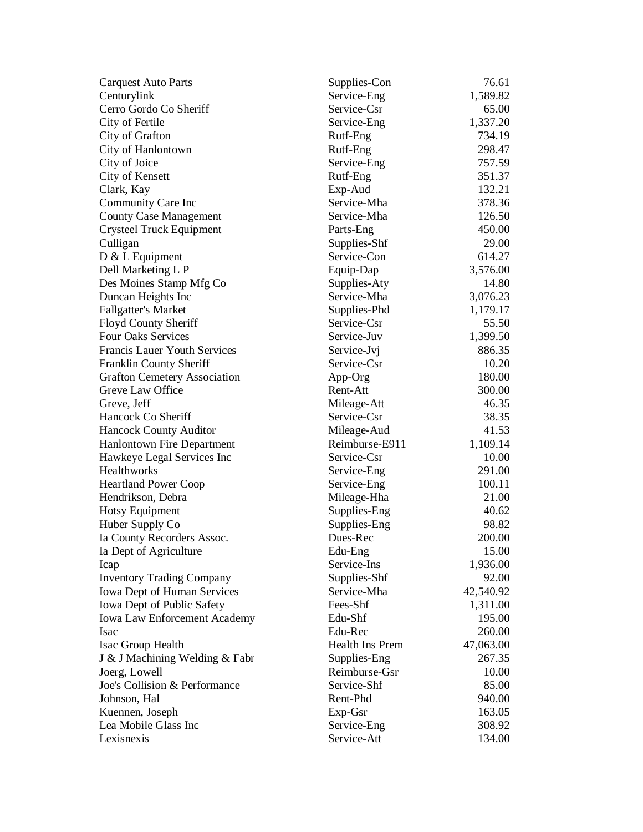| <b>Carquest Auto Parts</b>          | Supplies-Con    | 76.61     |
|-------------------------------------|-----------------|-----------|
| Centurylink                         | Service-Eng     | 1,589.82  |
| Cerro Gordo Co Sheriff              | Service-Csr     | 65.00     |
| City of Fertile                     | Service-Eng     | 1,337.20  |
| City of Grafton                     | Rutf-Eng        | 734.19    |
| City of Hanlontown                  | Rutf-Eng        | 298.47    |
| City of Joice                       | Service-Eng     | 757.59    |
| City of Kensett                     | Rutf-Eng        | 351.37    |
| Clark, Kay                          | Exp-Aud         | 132.21    |
| Community Care Inc                  | Service-Mha     | 378.36    |
| <b>County Case Management</b>       | Service-Mha     | 126.50    |
| <b>Crysteel Truck Equipment</b>     | Parts-Eng       | 450.00    |
| Culligan                            | Supplies-Shf    | 29.00     |
| $D & L$ Equipment                   | Service-Con     | 614.27    |
| Dell Marketing L P                  | Equip-Dap       | 3,576.00  |
| Des Moines Stamp Mfg Co             | Supplies-Aty    | 14.80     |
| Duncan Heights Inc                  | Service-Mha     | 3,076.23  |
| <b>Fallgatter's Market</b>          | Supplies-Phd    | 1,179.17  |
| <b>Floyd County Sheriff</b>         | Service-Csr     | 55.50     |
| <b>Four Oaks Services</b>           | Service-Juv     | 1,399.50  |
| <b>Francis Lauer Youth Services</b> | Service-Jvj     | 886.35    |
| Franklin County Sheriff             | Service-Csr     | 10.20     |
| <b>Grafton Cemetery Association</b> | App-Org         | 180.00    |
| Greve Law Office                    | Rent-Att        | 300.00    |
| Greve, Jeff                         | Mileage-Att     | 46.35     |
| Hancock Co Sheriff                  | Service-Csr     | 38.35     |
| <b>Hancock County Auditor</b>       | Mileage-Aud     | 41.53     |
| <b>Hanlontown Fire Department</b>   | Reimburse-E911  | 1,109.14  |
| Hawkeye Legal Services Inc          | Service-Csr     | 10.00     |
| Healthworks                         | Service-Eng     | 291.00    |
| <b>Heartland Power Coop</b>         | Service-Eng     | 100.11    |
| Hendrikson, Debra                   | Mileage-Hha     | 21.00     |
| <b>Hotsy Equipment</b>              | Supplies-Eng    | 40.62     |
| Huber Supply Co                     | Supplies-Eng    | 98.82     |
| Ia County Recorders Assoc.          | Dues-Rec        | 200.00    |
| Ia Dept of Agriculture              | Edu-Eng         | 15.00     |
| Icap                                | Service-Ins     | 1,936.00  |
| <b>Inventory Trading Company</b>    | Supplies-Shf    | 92.00     |
| Iowa Dept of Human Services         | Service-Mha     | 42,540.92 |
| Iowa Dept of Public Safety          | Fees-Shf        | 1,311.00  |
| Iowa Law Enforcement Academy        | Edu-Shf         | 195.00    |
| <b>Isac</b>                         | Edu-Rec         | 260.00    |
| Isac Group Health                   | Health Ins Prem | 47,063.00 |
| J & J Machining Welding & Fabr      | Supplies-Eng    | 267.35    |
| Joerg, Lowell                       | Reimburse-Gsr   | 10.00     |
| Joe's Collision & Performance       | Service-Shf     | 85.00     |
| Johnson, Hal                        | Rent-Phd        | 940.00    |
| Kuennen, Joseph                     | Exp-Gsr         | 163.05    |
| Lea Mobile Glass Inc                | Service-Eng     | 308.92    |
| Lexisnexis                          | Service-Att     | 134.00    |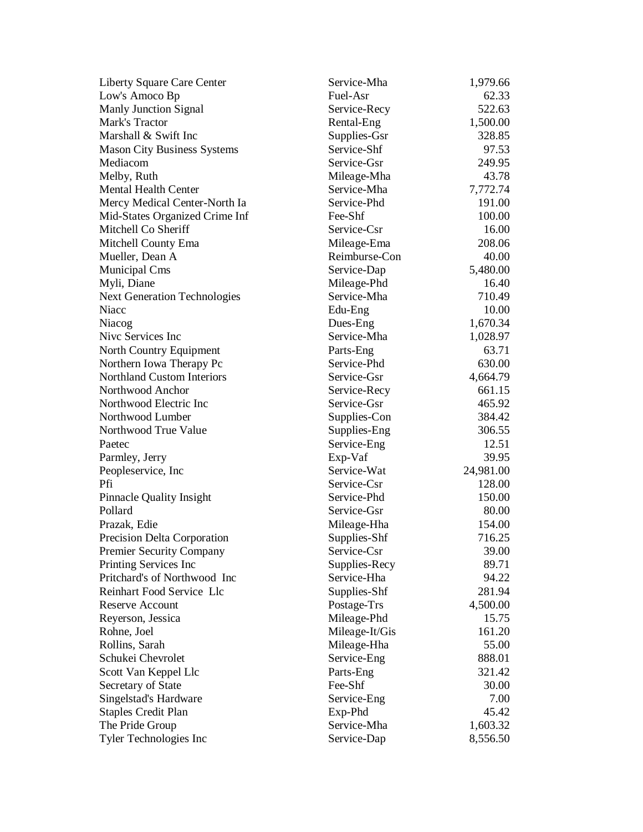| Liberty Square Care Center          | Service-Mha    | 1,979.66  |
|-------------------------------------|----------------|-----------|
| Low's Amoco Bp                      | Fuel-Asr       | 62.33     |
| <b>Manly Junction Signal</b>        | Service-Recy   | 522.63    |
| Mark's Tractor                      | Rental-Eng     | 1,500.00  |
| Marshall & Swift Inc                | Supplies-Gsr   | 328.85    |
| <b>Mason City Business Systems</b>  | Service-Shf    | 97.53     |
| Mediacom                            | Service-Gsr    | 249.95    |
| Melby, Ruth                         | Mileage-Mha    | 43.78     |
| <b>Mental Health Center</b>         | Service-Mha    | 7,772.74  |
| Mercy Medical Center-North Ia       | Service-Phd    | 191.00    |
| Mid-States Organized Crime Inf      | Fee-Shf        | 100.00    |
| Mitchell Co Sheriff                 | Service-Csr    | 16.00     |
| Mitchell County Ema                 | Mileage-Ema    | 208.06    |
| Mueller, Dean A                     | Reimburse-Con  | 40.00     |
| Municipal Cms                       | Service-Dap    | 5,480.00  |
| Myli, Diane                         | Mileage-Phd    | 16.40     |
| <b>Next Generation Technologies</b> | Service-Mha    | 710.49    |
| Niacc                               | Edu-Eng        | 10.00     |
| Niacog                              | Dues-Eng       | 1,670.34  |
| Nive Services Inc                   | Service-Mha    | 1,028.97  |
| North Country Equipment             | Parts-Eng      | 63.71     |
| Northern Iowa Therapy Pc            | Service-Phd    | 630.00    |
| <b>Northland Custom Interiors</b>   | Service-Gsr    | 4,664.79  |
| Northwood Anchor                    | Service-Recy   | 661.15    |
| Northwood Electric Inc              | Service-Gsr    | 465.92    |
| Northwood Lumber                    | Supplies-Con   | 384.42    |
| Northwood True Value                | Supplies-Eng   | 306.55    |
| Paetec                              | Service-Eng    | 12.51     |
| Parmley, Jerry                      | Exp-Vaf        | 39.95     |
| Peopleservice, Inc                  | Service-Wat    | 24,981.00 |
| Pfi                                 | Service-Csr    | 128.00    |
| <b>Pinnacle Quality Insight</b>     | Service-Phd    | 150.00    |
| Pollard                             | Service-Gsr    | 80.00     |
| Prazak, Edie                        | Mileage-Hha    | 154.00    |
| Precision Delta Corporation         | Supplies-Shf   | 716.25    |
| <b>Premier Security Company</b>     | Service-Csr    | 39.00     |
| Printing Services Inc               | Supplies-Recy  | 89.71     |
| Pritchard's of Northwood Inc        | Service-Hha    | 94.22     |
| Reinhart Food Service Llc           | Supplies-Shf   | 281.94    |
| <b>Reserve Account</b>              | Postage-Trs    | 4,500.00  |
| Reyerson, Jessica                   | Mileage-Phd    | 15.75     |
| Rohne, Joel                         | Mileage-It/Gis | 161.20    |
| Rollins, Sarah                      | Mileage-Hha    | 55.00     |
| Schukei Chevrolet                   | Service-Eng    | 888.01    |
| Scott Van Keppel Llc                | Parts-Eng      | 321.42    |
| Secretary of State                  | Fee-Shf        | 30.00     |
| Singelstad's Hardware               | Service-Eng    | 7.00      |
| <b>Staples Credit Plan</b>          | Exp-Phd        | 45.42     |
| The Pride Group                     | Service-Mha    | 1,603.32  |
| Tyler Technologies Inc              | Service-Dap    | 8,556.50  |
|                                     |                |           |